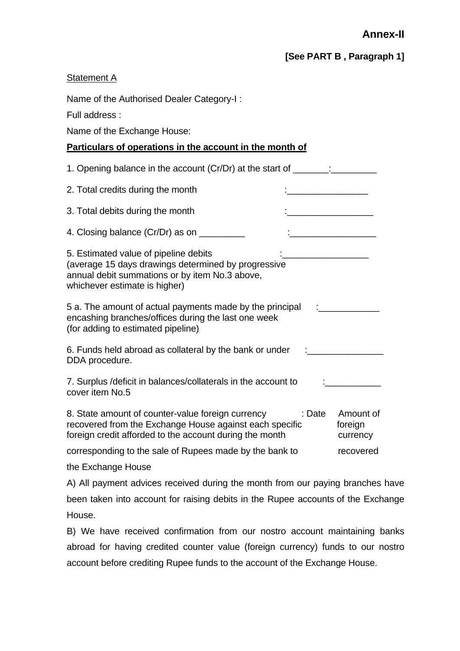**[See PART B , Paragraph 1]** 

## **Statement A**

been taken into account for raising debits in the Rupee accounts of the Exchange House.

B) We have received confirmation from our nostro account maintaining banks abroad for having credited counter value (foreign currency) funds to our nostro account before crediting Rupee funds to the account of the Exchange House.

26